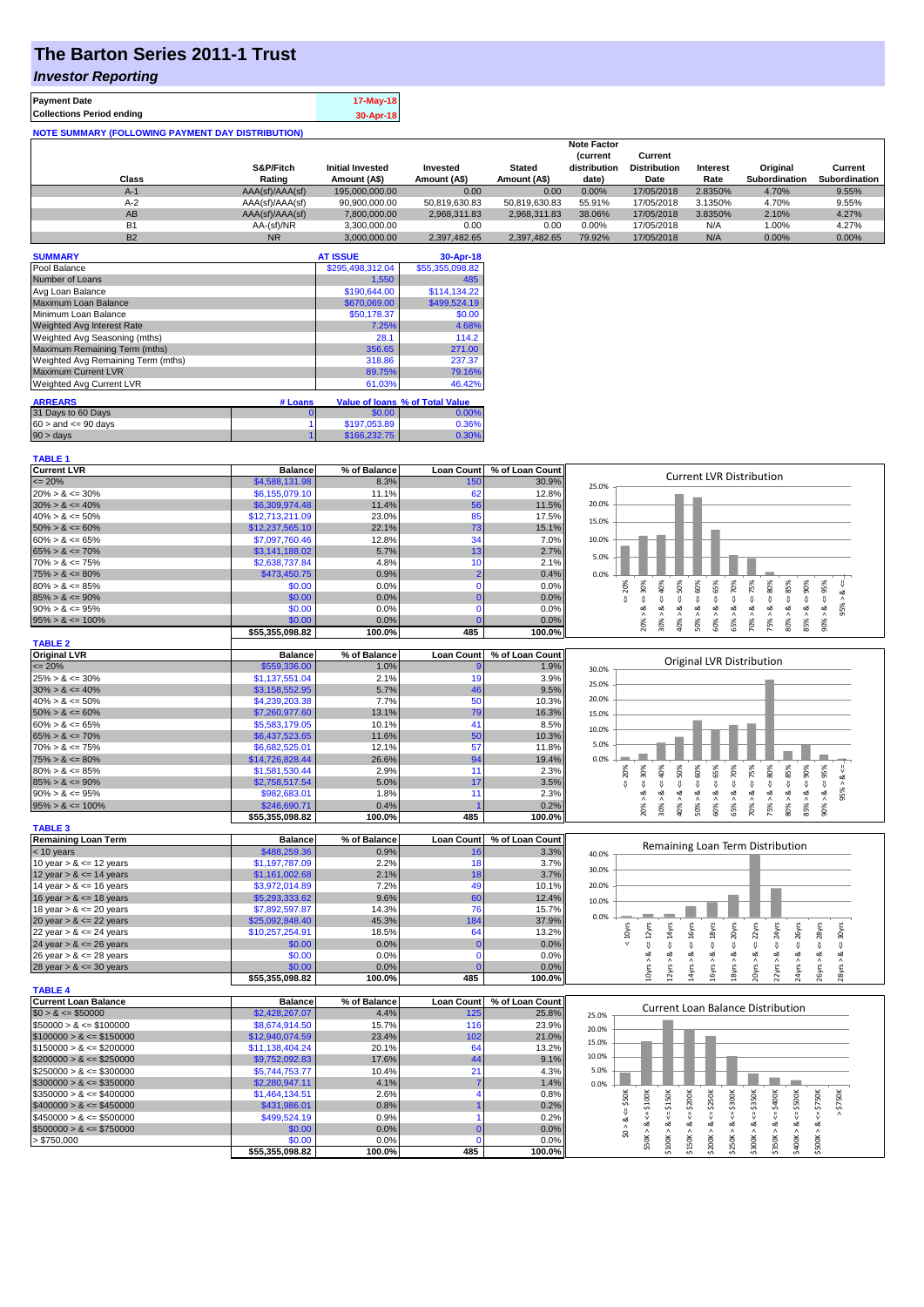# **The Barton Series 2011-1 Trust**

### *Investor Reporting*

| <b>Payment Date</b>                                      | 17-May-18 |
|----------------------------------------------------------|-----------|
| <b>Collections Period ending</b>                         | 30-Apr-18 |
| <b>NOTE SUMMARY (FOLLOWING PAYMENT DAY DISTRIBUTION)</b> |           |

|           |                 |                         |               |               | <b>Note Factor</b> |                     |                 |               |               |
|-----------|-----------------|-------------------------|---------------|---------------|--------------------|---------------------|-----------------|---------------|---------------|
|           |                 |                         |               |               | <b>Current</b>     | Current             |                 |               |               |
|           | S&P/Fitch       | <b>Initial Invested</b> | Invested      | <b>Stated</b> | distribution       | <b>Distribution</b> | <b>Interest</b> | Original      | Current       |
| Class     | Rating          | Amount (A\$)            | Amount (A\$)  | Amount (A\$)  | date)              | Date                | Rate            | Subordination | Subordination |
| $A-1$     | AAA(sf)/AAA(sf) | 195,000,000,00          | 0.00          | 0.00          | 0.00%              | 17/05/2018          | 2.8350%         | 4.70%         | 9.55%         |
| $A-2$     | AAA(sf)/AAA(sf) | 90,900,000.00           | 50.819.630.83 | 50.819.630.83 | 55.91%             | 17/05/2018          | 3.1350%         | 4.70%         | 9.55%         |
| AB        | AAA(sf)/AAA(sf) | 7,800,000.00            | 2.968.311.83  | 2.968.311.83  | 38.06%             | 17/05/2018          | 3.8350%         | 2.10%         | 4.27%         |
| B1        | AA-(sf)/NR      | 3.300.000.00            | 0.00          | 0.00          | 0.00%              | 17/05/2018          | N/A             | 1.00%         | 4.27%         |
| <b>B2</b> | N <sub>R</sub>  | 3.000.000.00            | 2.397.482.65  | 2.397.482.65  | 79.92%             | 17/05/2018          | N/A             | $0.00\%$      | 0.00%         |

| <b>SUMMARY</b>                     |         | <b>AT ISSUE</b>  | 30-Apr-18                              |
|------------------------------------|---------|------------------|----------------------------------------|
| Pool Balance                       |         | \$295,498,312.04 | \$55,355,098.82                        |
| Number of Loans                    |         | 1,550            | 485                                    |
| Avg Loan Balance                   |         | \$190,644.00     | \$114,134.22                           |
| Maximum Loan Balance               |         | \$670,069.00     | \$499,524.19                           |
| Minimum Loan Balance               |         | \$50,178.37      | \$0.00                                 |
| Weighted Avg Interest Rate         |         | 7.25%            | 4.68%                                  |
| Weighted Avg Seasoning (mths)      |         | 28.1             | 114.2                                  |
| Maximum Remaining Term (mths)      |         | 356.65           | 271.00                                 |
| Weighted Avg Remaining Term (mths) |         | 318.86           | 237.37                                 |
| <b>Maximum Current LVR</b>         |         | 89.75%           | 79.16%                                 |
| Weighted Avg Current LVR           |         | 61.03%           | 46.42%                                 |
| <b>ARREARS</b>                     | # Loans |                  | <b>Value of loans % of Total Value</b> |
| 31 Days to 60 Days                 | O       | \$0.00           | $0.00\%$                               |
| $60 >$ and $\leq 90$ days          |         | \$197,053.89     | 0.36%                                  |
| $90 > \text{days}$                 |         | \$166,232.75     | 0.30%                                  |

| <b>TABLE 1</b>              |                 |              |                   |                 |                                                                                                                                                                                                                |
|-----------------------------|-----------------|--------------|-------------------|-----------------|----------------------------------------------------------------------------------------------------------------------------------------------------------------------------------------------------------------|
| <b>Current LVR</b>          | <b>Balance</b>  | % of Balance | <b>Loan Count</b> | % of Loan Count |                                                                                                                                                                                                                |
| $\leq$ 20%                  | \$4,588,131.98  | 8.3%         | 15 <sub>C</sub>   | 30.9%           | <b>Current LVR Distribution</b><br>25.0%                                                                                                                                                                       |
| $20\% > 8 \le 30\%$         | \$6,155,079.10  | 11.1%        | 62                | 12.8%           |                                                                                                                                                                                                                |
| $30\% > 8 \le 40\%$         | \$6,309,974.48  | 11.4%        | 56                | 11.5%           | 20.0%                                                                                                                                                                                                          |
| $40\% > 8 \le 50\%$         | \$12,713,211.09 | 23.0%        | 85                | 17.5%           |                                                                                                                                                                                                                |
| $50\% > 8 \le 60\%$         | \$12,237,565.10 | 22.1%        | 73                | 15.1%           | 15.0%                                                                                                                                                                                                          |
| $60\% > 8 \le 65\%$         | \$7,097,760.46  | 12.8%        | 34                | 7.0%            | 10.0%                                                                                                                                                                                                          |
| $65\% > 8 \le 70\%$         | \$3,141,188.02  | 5.7%         | 13                | 2.7%            |                                                                                                                                                                                                                |
| $70\% > 8 \le 75\%$         | \$2,638,737.84  | 4.8%         | 10                | 2.1%            | 5.0%                                                                                                                                                                                                           |
| $75\% > 8 \le 80\%$         | \$473,450.75    | 0.9%         | $\overline{2}$    | 0.4%            | 0.0%                                                                                                                                                                                                           |
| $80\% > 8 \le 85\%$         | \$0.00          | 0.0%         | $\mathbf 0$       | 0.0%            | $4 = 60\%$<br>$\leq 80\%$                                                                                                                                                                                      |
| $85\% > 8 \le 90\%$         | \$0.00          | 0.0%         | $\bf{0}$          | 0.0%            | $8 - 40%$<br>$4 = 20\%$<br>$\leq 85\%$<br>∘<br>∧                                                                                                                                                               |
| $90\% > 8 \le 95\%$         | \$0.00          | 0.0%         | $\Omega$          | 0.0%            | 95%<br>ż<br>ż                                                                                                                                                                                                  |
| $95\% > 8 \le 100\%$        | \$0.00          | 0.0%         | $\Omega$          | 0.0%            | $60\% > 8 <= 65\%$<br>$70\% > 8 <= 75\%$<br>$40\% > 8 <= 50\%$<br>$65\% > 8 \le x = 70\%$<br>$90\% > 8 <= 95\%$<br>$20\% > 8$ <= 30%<br>$85\% > 8 <= 90\%$<br>75% > 8.<br>30% > 1<br>80% ><br>50% >            |
|                             | \$55,355,098.82 | 100.0%       | 485               | 100.0%          |                                                                                                                                                                                                                |
| <b>TABLE 2</b>              |                 |              |                   |                 |                                                                                                                                                                                                                |
| <b>Original LVR</b>         | <b>Balance</b>  | % of Balance | <b>Loan Count</b> | % of Loan Count |                                                                                                                                                                                                                |
| $\leq$ 20%                  | \$559,336.00    | 1.0%         |                   | 1.9%            | Original LVR Distribution<br>30.0%                                                                                                                                                                             |
| $25\% > 8 \le 30\%$         | \$1,137,551.04  | 2.1%         | 19                | 3.9%            |                                                                                                                                                                                                                |
| $30\% > 8 \le 40\%$         | \$3,158,552.95  | 5.7%         | 46                | 9.5%            | 25.0%                                                                                                                                                                                                          |
| $40\% > 8 \le 50\%$         | \$4,239,203.38  | 7.7%         | 50                | 10.3%           | 20.0%                                                                                                                                                                                                          |
| $50\% > 8 \le 60\%$         | \$7,260,977.60  | 13.1%        | 79                | 16.3%           | 15.0%                                                                                                                                                                                                          |
| $60\% > 8 \le 65\%$         | \$5,583,179.05  | 10.1%        | 41                | 8.5%            |                                                                                                                                                                                                                |
| $65\% > 8 \le 70\%$         | \$6,437,523.65  | 11.6%        | 50                | 10.3%           | 10.0%                                                                                                                                                                                                          |
| $70\% > 8 \le 75\%$         | \$6,682,525.01  | 12.1%        | 57                | 11.8%           | 5.0%                                                                                                                                                                                                           |
| $75\% > 8 \le 80\%$         | \$14,726,828.44 | 26.6%        | 94                | 19.4%           | 0.0%                                                                                                                                                                                                           |
| $80\% > 8 \le 85\%$         | \$1,581,530.44  | 2.9%         | 11                | 2.3%            | $4 = 65\%$<br>$\leq 75\%$<br>$\leq 80\%$<br>85%<br>$-50\%$<br>95%<br>$4 = 30\%$<br>50%<br>60%<br>20%<br>8 < 1                                                                                                  |
| $85\% > 8 \le 90\%$         | \$2,758,517.54  | 5.0%         | 17                | 3.5%            | 40%<br>$4 = 70\%$<br>₩<br>Ÿ.<br>₩<br>₩<br>₩                                                                                                                                                                    |
| $90\% > 8 \le 95\%$         | \$982,683.01    | 1.8%         | 11                | 2.3%            | 95% ><br>$\dot{\infty}$<br>ಷ<br>œ<br>ಷ<br>∞<br>ಹ<br>œ<br>ಹ<br>ø<br>∞<br>ø                                                                                                                                      |
| $95\% > 8 \le 100\%$        | \$246,690.71    | 0.4%         |                   | 0.2%            | 20%<br>$30\%$ ><br>40% ><br>$60\%$ $>$<br>65% ><br>70%<br>75% ><br>85% ><br>90% ><br>50% ><br>80% >                                                                                                            |
|                             | \$55,355,098.82 | 100.0%       | 485               | 100.0%          |                                                                                                                                                                                                                |
| <b>TABLE 3</b>              |                 |              |                   |                 |                                                                                                                                                                                                                |
| <b>Remaining Loan Term</b>  | <b>Balance</b>  | % of Balance | <b>Loan Count</b> | % of Loan Count |                                                                                                                                                                                                                |
| $<$ 10 years                | \$488,259.36    | 0.9%         | 16                | 3.3%            | Remaining Loan Term Distribution<br>40.0%                                                                                                                                                                      |
| 10 year $> 8 \le 12$ years  | \$1,197,787.09  | 2.2%         | 18                | 3.7%            |                                                                                                                                                                                                                |
| 12 year $> 8 \le 14$ years  | \$1,161,002.68  | 2.1%         | 18                | 3.7%            | 30.0%                                                                                                                                                                                                          |
| 14 year $> 8 \le 16$ years  | \$3,972,014.89  | 7.2%         | 49                | 10.1%           | 20.0%                                                                                                                                                                                                          |
| 16 year $> 8 \le 18$ years  | \$5,293,333.62  | 9.6%         | 60                | 12.4%           | 10.0%                                                                                                                                                                                                          |
| 18 year $> 8 \le 20$ years  | \$7,892,597.87  | 14.3%        | 76                | 15.7%           |                                                                                                                                                                                                                |
| 20 year $> 8 \le 22$ years  | \$25,092,848.40 | 45.3%        | 184               | 37.9%           | 0.0%                                                                                                                                                                                                           |
| 22 year $> 8 \le 24$ years  | \$10,257,254.91 | 18.5%        | 64                | 13.2%           | 24yrs<br>$< 10$ yrs                                                                                                                                                                                            |
| 24 year $> 8 \le 26$ years  | \$0.00          | 0.0%         | $\mathcal{C}$     | 0.0%            | $\leq$ 26yrs<br>$\leq$ 28 $\gamma$ rs<br>$\leq 12$ yrs<br>$\leq 16$ yrs<br>$\leq 18$ yrs<br>$\leq$ 20 $\gamma$ rs<br>$\leq$ 22 $\gamma$ rs<br>$4 = 30$ yrs<br>$\leq 14$ yrs<br>IJ.                             |
| 26 year $> 8 \le 28$ years  | \$0.00          | 0.0%         | $\mathbf 0$       | 0.0%            | ∞<br>ಷ<br>ವ<br>ಷ<br>ಷ<br>ಷ<br>œ<br>ಷ<br>ઌ                                                                                                                                                                      |
| 28 year $> 8 \le 30$ years  | \$0.00          | 0.0%         | $\Omega$          | 0.0%            | 18yrs > 8<br>10yrs ><br>l4yrs ><br>24yrs ><br>12yrs ><br>22yrs ><br>26yrs >                                                                                                                                    |
|                             | \$55,355,098.82 | 100.0%       | 485               | 100.0%          | 16yrs > 8<br>20yrs > 8<br>28yrs > 8                                                                                                                                                                            |
| <b>TABLE 4</b>              |                 |              |                   |                 |                                                                                                                                                                                                                |
| <b>Current Loan Balance</b> | <b>Balance</b>  | % of Balance | <b>Loan Count</b> | % of Loan Count | <b>Current Loan Balance Distribution</b>                                                                                                                                                                       |
| $$0 > 8 \le $50000$         | \$2,428,267.07  | 4.4%         | 125               | 25.8%           | 25.0%                                                                                                                                                                                                          |
| $$50000 > 8 \le $100000$    | \$8,674,914.50  | 15.7%        | 116               | 23.9%           | 20.0%                                                                                                                                                                                                          |
| $$100000 > 8 \leq $150000$  | \$12,940,074.59 | 23.4%        | 102               | 21.0%           |                                                                                                                                                                                                                |
| $$150000 > 8 \leq $200000$  | \$11,138,404.24 | 20.1%        | 64                | 13.2%           | 15.0%                                                                                                                                                                                                          |
| $$200000 > 8 \leq $250000$  | \$9,752,092.83  | 17.6%        | 44                | 9.1%            | 10.0%                                                                                                                                                                                                          |
| $$250000 > 8 \leq $300000$  | \$5,744,753.77  | 10.4%        | 21                | 4.3%            | 5.0%                                                                                                                                                                                                           |
| $$300000 > 8 \leq $350000$  | \$2,280,947.11  | 4.1%         |                   | 1.4%            | 0.0%                                                                                                                                                                                                           |
| $$350000 > 8 \leq $400000$  | \$1,464,134.51  | 2.6%         | 4                 | 0.8%            |                                                                                                                                                                                                                |
| $$400000 > 8 \leq $450000$  | \$431,986.01    | 0.8%         |                   | 0.2%            | $$0 > 8 <= $50$ K<br>\$350K<br>\$750K                                                                                                                                                                          |
| $$450000 > 8 \le $500000$   | \$499,524.19    | 0.9%         |                   | 0.2%            |                                                                                                                                                                                                                |
| $$500000 > 8 \le $750000$   | \$0.00          | 0.0%         | $\Omega$          | 0.0%            |                                                                                                                                                                                                                |
| > \$750,000                 | \$0.00          | 0.0%         | $\Omega$          | 0.0%            | $$50K > 8 <= $100K$<br>$$150K > <= $200K$$<br>$$200K > 8 <= $250K$$<br>$$250K > 8 <= $300K$<br>$$350K > 8 <= $400K$<br>$$400K > 8 <= $500K$<br>$$100K > 8 <= $150K$<br>$$500K > 8 <= $750K$<br>$$300K > 8 < =$ |
|                             | \$55,355,098.82 | 100.0%       | 485               | 100.0%          |                                                                                                                                                                                                                |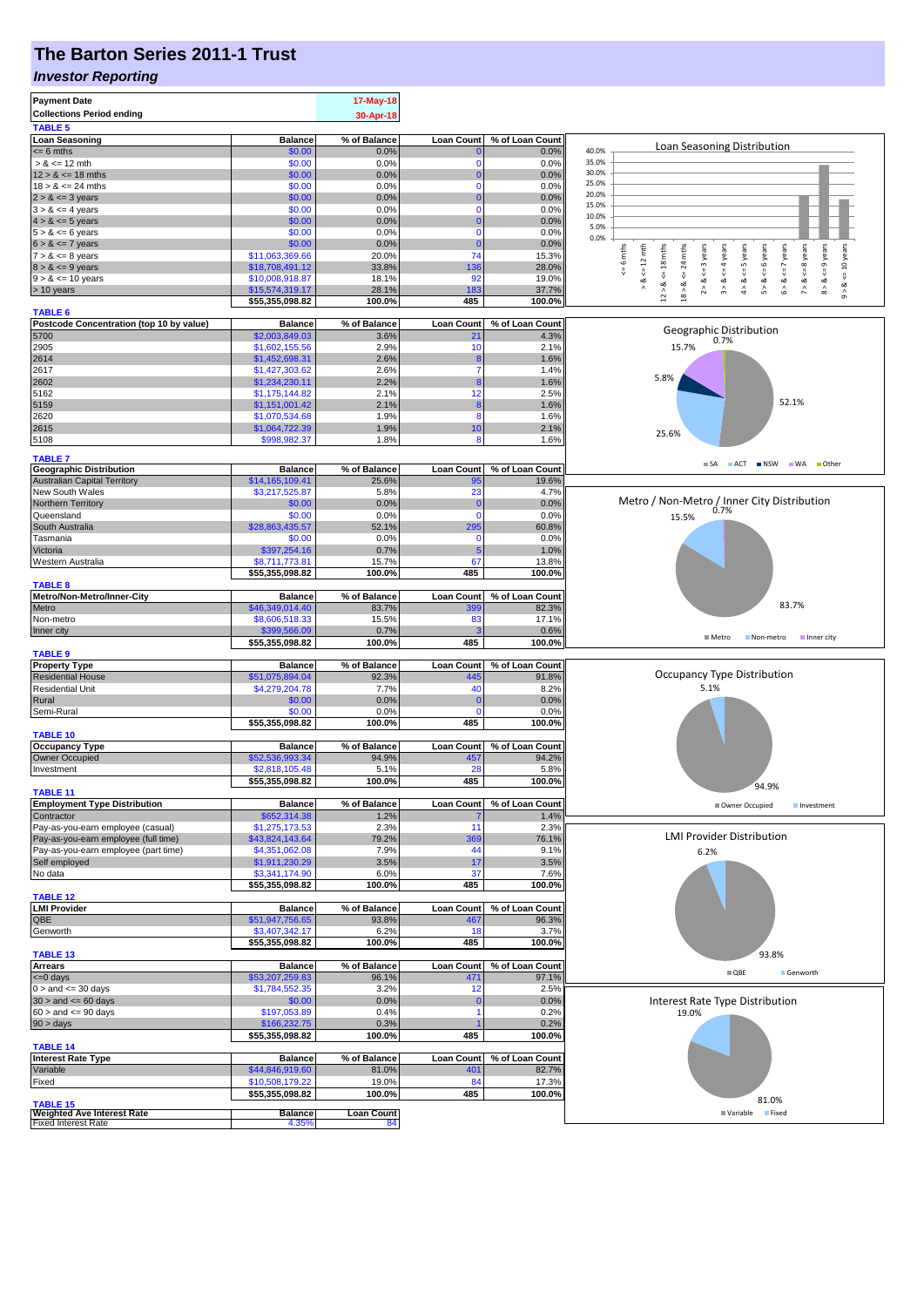# **The Barton Series 2011-1 Trust**

#### *Investor Reporting*

| <b>Payment Date</b><br><b>Collections Period ending</b>         |                                    | 17-May-18<br>30-Apr-18  |                   |                 |                                                                                                                                                                                                    |
|-----------------------------------------------------------------|------------------------------------|-------------------------|-------------------|-----------------|----------------------------------------------------------------------------------------------------------------------------------------------------------------------------------------------------|
| <b>TABLE 5</b><br><b>Loan Seasoning</b>                         | <b>Balance</b>                     | % of Balance            | <b>Loan Count</b> | % of Loan Count |                                                                                                                                                                                                    |
| $= 6$ mths                                                      | \$0.00                             | 0.0%                    |                   | 0.0%            | Loan Seasoning Distribution<br>40.0%                                                                                                                                                               |
| $> 8 \le 12$ mth                                                | \$0.00                             | 0.0%                    | $\Omega$          | 0.0%            | 35.0%                                                                                                                                                                                              |
| $12 > 8 \le 18$ mths                                            | \$0.00                             | 0.0%                    | 0<br>$\Omega$     | 0.0%            | 30.0%<br>25.0%                                                                                                                                                                                     |
| $18 > 8 \le 24$ mths<br>$2 > 8 \leq 3$ years                    | \$0.00<br>\$0.00                   | 0.0%<br>0.0%            |                   | 0.0%<br>0.0%    | 20.0%                                                                                                                                                                                              |
| $3 > 8 \leq 4$ years                                            | \$0.00                             | 0.0%                    | $\Omega$          | 0.0%            | 15.0%                                                                                                                                                                                              |
| $4 > 8 \le 5$ years                                             | \$0.00                             | 0.0%                    |                   | 0.0%            | 10.0%<br>5.0%                                                                                                                                                                                      |
| $5 > 8 \le 6$ years                                             | \$0.00                             | 0.0%                    | $\Omega$          | 0.0%            | 0.0%                                                                                                                                                                                               |
| $6 > 8 \le 7$ years<br>$7 > 8 \le 8$ years                      | \$0.00<br>\$11,063,369.66          | 0.0%<br>20.0%           | $\Omega$<br>74    | 0.0%<br>15.3%   | 6 mths                                                                                                                                                                                             |
| $8 > 8 \le 9$ years                                             | \$18,708,491.12                    | 33.8%                   | 136               | 28.0%           | $\leq$ = 8 years<br>$\leq$ 9 years<br>$\le$ = 10 years<br>24 mths<br>$\le$ 6 years<br>$\leq 12$ mth<br>$\leq$ 18 mths<br>$\leq$ = 3 years<br>$\leq$ = 4 years<br>$\le$ = 5 years<br>$\leq$ 7 years |
| $9 > 8 \le 10$ years                                            | \$10,008,918.87                    | 18.1%                   | 92                | 19.0%           | $\stackrel{\scriptscriptstyle{  }}{\mathsf{v}}$<br>⊗<br>∧<br>∞<br>ಯ<br>ಷ<br>ಷ<br>ಷ<br>œ                                                                                                            |
| > 10 years                                                      | \$15,574,319.17                    | 28.1%                   | 183               | 37.7%           | 5 > 8<br>7 > 8<br>$12 > 8$<br>18 > 8.<br>$\hat{\sim}$<br>$\hat{\hat{}}$<br>$\hat{4}$<br>$\hat{\circ}$<br>$\hat{\circ}$<br>$\hat{\circ}$                                                            |
| <b>TABLE 6</b>                                                  | \$55,355,098.82                    | 100.0%                  | 485               | 100.0%          |                                                                                                                                                                                                    |
| Postcode Concentration (top 10 by value)                        | <b>Balance</b>                     | % of Balance            | <b>Loan Count</b> | % of Loan Count |                                                                                                                                                                                                    |
| 5700                                                            | \$2,003,849.03                     | 3.6%                    | 21                | 4.3%            | Geographic Distribution<br>0.7%                                                                                                                                                                    |
| 2905                                                            | \$1,602,155.56                     | 2.9%                    | 10                | 2.1%            | 15.7%                                                                                                                                                                                              |
| 2614<br>2617                                                    | \$1,452,698.31<br>\$1,427,303.62   | 2.6%<br>2.6%            | 7                 | 1.6%<br>1.4%    |                                                                                                                                                                                                    |
| 2602                                                            | \$1,234,230.11                     | 2.2%                    |                   | 1.6%            | 5.8%                                                                                                                                                                                               |
| 5162                                                            | \$1,175,144.82                     | 2.1%                    | 12                | 2.5%            |                                                                                                                                                                                                    |
| 5159                                                            | \$1,151,001.42                     | 2.1%                    |                   | 1.6%            | 52.1%                                                                                                                                                                                              |
| 2620                                                            | \$1,070,534.68                     | 1.9%                    | 8                 | 1.6%            |                                                                                                                                                                                                    |
| 2615<br>5108                                                    | \$1,064,722.39<br>\$998,982.37     | 1.9%<br>1.8%            | 10<br>8           | 2.1%<br>1.6%    | 25.6%                                                                                                                                                                                              |
|                                                                 |                                    |                         |                   |                 |                                                                                                                                                                                                    |
| <b>TABLE 7</b><br><b>Geographic Distribution</b>                | <b>Balance</b>                     | % of Balance            | <b>Loan Count</b> | % of Loan Count | SA ACT INSW WA Other                                                                                                                                                                               |
| <b>Australian Capital Territory</b>                             | \$14,165,109.41                    | 25.6%                   | 95                | 19.6%           |                                                                                                                                                                                                    |
| New South Wales                                                 | \$3,217,525.87                     | 5.8%                    | 23                | 4.7%            |                                                                                                                                                                                                    |
| Northern Territory                                              | \$0.00                             | 0.0%                    | 0                 | 0.0%            | Metro / Non-Metro / Inner City Distribution<br>0.7%                                                                                                                                                |
| Queensland<br>South Australia                                   | \$0.00                             | 0.0%                    | $\Omega$          | 0.0%            | 15.5%                                                                                                                                                                                              |
| Tasmania                                                        | \$28,863,435.57<br>\$0.00          | 52.1%<br>0.0%           | 295<br>$\Omega$   | 60.8%<br>0.0%   |                                                                                                                                                                                                    |
| Victoria                                                        | \$397,254.16                       | 0.7%                    | 5                 | 1.0%            |                                                                                                                                                                                                    |
| Western Australia                                               | \$8,711,773.81                     | 15.7%                   | 67                | 13.8%           |                                                                                                                                                                                                    |
|                                                                 | \$55,355,098.82                    | 100.0%                  | 485               | 100.0%          |                                                                                                                                                                                                    |
| <b>TABLE 8</b><br>Metro/Non-Metro/Inner-City                    | <b>Balance</b>                     | % of Balance            | <b>Loan Count</b> | % of Loan Count |                                                                                                                                                                                                    |
| Metro                                                           | \$46,349,014.40                    | 83.7%                   | 399               | 82.3%           | 83.7%                                                                                                                                                                                              |
| Non-metro                                                       | \$8,606,518.33                     | 15.5%                   | 83                | 17.1%           |                                                                                                                                                                                                    |
| Inner city                                                      | \$399,566.09                       | 0.7%                    |                   | 0.6%            | ■ Metro<br>Non-metro<br>Inner city                                                                                                                                                                 |
| <b>TABLE 9</b>                                                  | \$55,355,098.82                    | 100.0%                  | 485               | 100.0%          |                                                                                                                                                                                                    |
| <b>Property Type</b>                                            | <b>Balance</b>                     | % of Balance            | <b>Loan Count</b> | % of Loan Count |                                                                                                                                                                                                    |
| <b>Residential House</b>                                        | \$51,075,894.04                    | 92.3%                   | 445               | 91.8%           | Occupancy Type Distribution                                                                                                                                                                        |
| <b>Residential Unit</b>                                         | \$4,279,204.78                     | 7.7%                    | 40                | 8.2%            | 5.1%                                                                                                                                                                                               |
| Rural<br>Semi-Rural                                             | \$0.00<br>\$0.00                   | 0.0%<br>0.0%            | 0<br>$\Omega$     | 0.0%<br>0.0%    |                                                                                                                                                                                                    |
|                                                                 | \$55,355,098.82                    | 100.0%                  | 485               | 100.0%          |                                                                                                                                                                                                    |
| <b>TABLE 10</b>                                                 |                                    |                         |                   |                 |                                                                                                                                                                                                    |
| <b>Occupancy Type</b>                                           | <b>Balance</b>                     | % of Balance            | <b>Loan Count</b> | % of Loan Count |                                                                                                                                                                                                    |
| Owner Occupied                                                  | \$52,536,993.34<br>\$2,818,105.48  | 94.9%<br>5.1%           | 457<br>28         | 94.2%<br>5.8%   |                                                                                                                                                                                                    |
| Investment                                                      | \$55,355,098.82                    | 100.0%                  | 485               | 100.0%          |                                                                                                                                                                                                    |
| <b>TABLE 11</b>                                                 |                                    |                         |                   |                 | 94.9%                                                                                                                                                                                              |
| <b>Employment Type Distribution</b>                             | <b>Balance</b>                     | % of Balance            | <b>Loan Count</b> | % of Loan Count | Owner Occupied<br>Investment                                                                                                                                                                       |
| Contractor<br>Pay-as-you-earn employee (casual)                 | \$652,314.38                       | 1.2%                    | 11                | 1.4%            |                                                                                                                                                                                                    |
| Pay-as-you-earn employee (full time)                            | \$1,275,173.53<br>\$43,824,143.64  | 2.3%<br>79.2%           | 369               | 2.3%<br>76.1%   | <b>LMI Provider Distribution</b>                                                                                                                                                                   |
| Pay-as-you-earn employee (part time)                            | \$4,351,062.08                     | 7.9%                    | 44                | 9.1%            | 6.2%                                                                                                                                                                                               |
| Self employed                                                   | \$1,911,230.29                     | 3.5%                    | 17                | 3.5%            |                                                                                                                                                                                                    |
| No data                                                         | \$3,341,174.90                     | 6.0%                    | 37                | 7.6%            |                                                                                                                                                                                                    |
| <b>TABLE 12</b>                                                 | \$55,355,098.82                    | 100.0%                  | 485               | 100.0%          |                                                                                                                                                                                                    |
| <b>LMI Provider</b>                                             | <b>Balance</b>                     | % of Balance            | <b>Loan Count</b> | % of Loan Count |                                                                                                                                                                                                    |
| QBE                                                             | \$51,947,756.65                    | 93.8%                   | 467               | 96.3%           |                                                                                                                                                                                                    |
| Genworth                                                        | \$3,407,342.17                     | 6.2%                    | 18                | 3.7%            |                                                                                                                                                                                                    |
| <b>TABLE 13</b>                                                 | \$55,355,098.82                    | 100.0%                  | 485               | 100.0%          | 93.8%                                                                                                                                                                                              |
| <b>Arrears</b>                                                  | <b>Balance</b>                     | % of Balance            | <b>Loan Count</b> | % of Loan Count |                                                                                                                                                                                                    |
| $= 0$ days                                                      | \$53,207,259.83                    | 96.1%                   | 471               | 97.1%           | $\blacksquare$ QBE<br>Genworth                                                                                                                                                                     |
| $0 >$ and $\leq 30$ days                                        | \$1,784,552.35                     | 3.2%                    | 12                | 2.5%            |                                                                                                                                                                                                    |
| $30 >$ and $\leq 60$ days                                       | \$0.00                             | 0.0%                    | $\Omega$          | 0.0%            | Interest Rate Type Distribution                                                                                                                                                                    |
| $60 >$ and $\leq 90$ days<br>$90 > \text{days}$                 | \$197,053.89<br>\$166,232.75       | 0.4%<br>0.3%            |                   | 0.2%<br>0.2%    | 19.0%                                                                                                                                                                                              |
|                                                                 | \$55,355,098.82                    | 100.0%                  | 485               | 100.0%          |                                                                                                                                                                                                    |
| <b>TABLE 14</b>                                                 |                                    |                         |                   |                 |                                                                                                                                                                                                    |
| <b>Interest Rate Type</b>                                       | <b>Balance</b>                     | % of Balance            | <b>Loan Count</b> | % of Loan Count |                                                                                                                                                                                                    |
| Variable<br>Fixed                                               | \$44,846,919.60<br>\$10,508,179.22 | 81.0%<br>19.0%          | 401<br>84         | 82.7%<br>17.3%  |                                                                                                                                                                                                    |
|                                                                 | \$55,355,098.82                    | 100.0%                  | 485               | 100.0%          |                                                                                                                                                                                                    |
| <b>TABLE 15</b>                                                 |                                    |                         |                   |                 | 81.0%                                                                                                                                                                                              |
| <b>Weighted Ave Interest Rate</b><br><b>Fixed Interest Rate</b> | <b>Balance</b><br>4.35%            | <b>Loan Count</b><br>84 |                   |                 | ■ Variable Fixed                                                                                                                                                                                   |